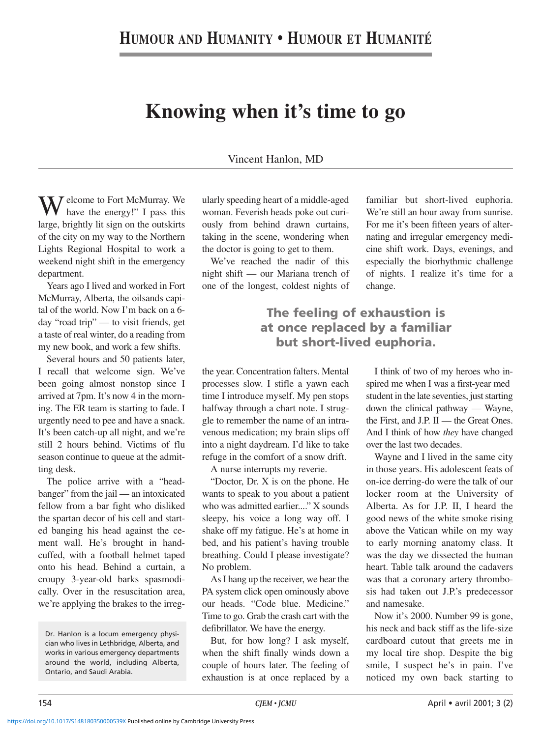# **Knowing when it's time to go**

#### Vincent Hanlon, MD

 $M$  elcome to Fort McMurray. We have the energy!" I pass this large, brightly lit sign on the outskirts of the city on my way to the Northern Lights Regional Hospital to work a weekend night shift in the emergency department.

Years ago I lived and worked in Fort McMurray, Alberta, the oilsands capital of the world. Now I'm back on a 6 day "road trip" — to visit friends, get a taste of real winter, do a reading from my new book, and work a few shifts.

Several hours and 50 patients later, I recall that welcome sign. We've been going almost nonstop since I arrived at 7pm. It's now 4 in the morning. The ER team is starting to fade. I urgently need to pee and have a snack. It's been catch-up all night, and we're still 2 hours behind. Victims of flu season continue to queue at the admitting desk.

The police arrive with a "headbanger" from the jail — an intoxicated fellow from a bar fight who disliked the spartan decor of his cell and started banging his head against the cement wall. He's brought in handcuffed, with a football helmet taped onto his head. Behind a curtain, a croupy 3-year-old barks spasmodically. Over in the resuscitation area, we're applying the brakes to the irregularly speeding heart of a middle-aged woman. Feverish heads poke out curiously from behind drawn curtains, taking in the scene, wondering when the doctor is going to get to them.

We've reached the nadir of this night shift — our Mariana trench of one of the longest, coldest nights of familiar but short-lived euphoria. We're still an hour away from sunrise. For me it's been fifteen years of alternating and irregular emergency medicine shift work. Days, evenings, and especially the biorhythmic challenge of nights. I realize it's time for a change.

## **The feeling of exhaustion is at once replaced by a familiar but short-lived euphoria.**

the year. Concentration falters. Mental processes slow. I stifle a yawn each time I introduce myself. My pen stops halfway through a chart note. I struggle to remember the name of an intravenous medication; my brain slips off into a night daydream. I'd like to take refuge in the comfort of a snow drift.

A nurse interrupts my reverie.

"Doctor, Dr. X is on the phone. He wants to speak to you about a patient who was admitted earlier...." X sounds sleepy, his voice a long way off. I shake off my fatigue. He's at home in bed, and his patient's having trouble breathing. Could I please investigate? No problem.

As I hang up the receiver, we hear the PA system click open ominously above our heads. "Code blue. Medicine." Time to go. Grab the crash cart with the defibrillator. We have the energy.

But, for how long? I ask myself, when the shift finally winds down a couple of hours later. The feeling of exhaustion is at once replaced by a

I think of two of my heroes who inspired me when I was a first-year med student in the late seventies, just starting down the clinical pathway — Wayne, the First, and J.P. II — the Great Ones. And I think of how *they* have changed over the last two decades.

Wayne and I lived in the same city in those years. His adolescent feats of on-ice derring-do were the talk of our locker room at the University of Alberta. As for J.P. II, I heard the good news of the white smoke rising above the Vatican while on my way to early morning anatomy class. It was the day we dissected the human heart. Table talk around the cadavers was that a coronary artery thrombosis had taken out J.P.'s predecessor and namesake.

Now it's 2000. Number 99 is gone, his neck and back stiff as the life-size cardboard cutout that greets me in my local tire shop. Despite the big smile, I suspect he's in pain. I've noticed my own back starting to

Dr. Hanlon is a locum emergency physician who lives in Lethbridge, Alberta, and works in various emergency departments around the world, including Alberta, Ontario, and Saudi Arabia.